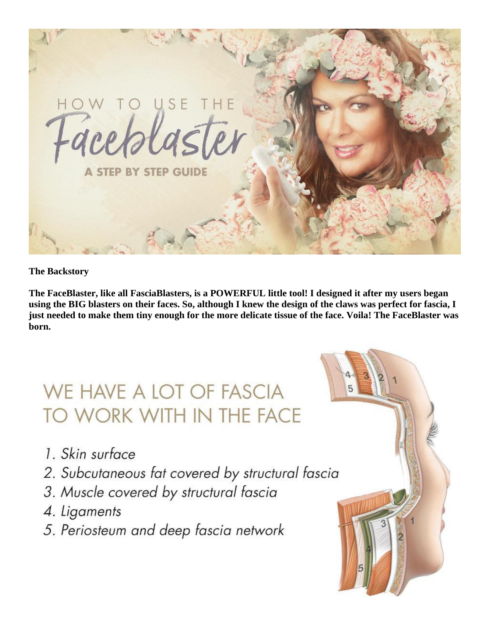

**The Backstory**

**The FaceBlaster, like all FasciaBlasters, is a POWERFUL little tool! I designed it after my users began using the BIG blasters on their faces. So, although I knew the design of the claws was perfect for fascia, I just needed to make them tiny enough for the more delicate tissue of the face. Voila! The FaceBlaster was born.**

# WE HAVE A LOT OF FASCIA TO WORK WITH IN THE FACE

- 1. Skin surface
- 2. Subcutaneous fat covered by structural fascia
- 3. Muscle covered by structural fascia
- 4. Ligaments
- 5. Periosteum and deep fascia network

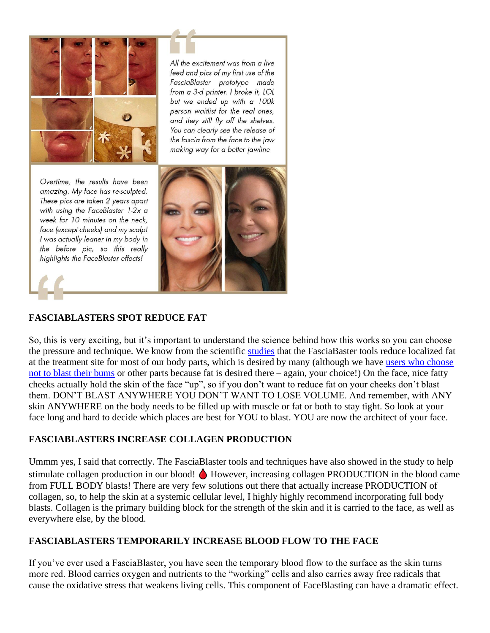

All the excitement was from a live feed and pics of my first use of the FasciaBlaster prototype made from a 3-d printer. I broke it, LOL but we ended up with a 100k person waitlist for the real ones, and they still fly off the shelves. You can clearly see the release of the fascia from the face to the jaw making way for a better jawline

Overtime, the results have been amazing. My face has re-sculpted. These pics are taken 2 years apart with using the FaceBlaster 1-2x a week for 10 minutes on the neck. face (except cheeks) and my scalp! I was actually leaner in my body in the before pic, so this really highlights the FaceBlaster effects!



## **FASCIABLASTERS SPOT REDUCE FAT**

So, this is very exciting, but it's important to understand the science behind how this works so you can choose the pressure and technique. We know from the scientific [studies](https://www.ashleyblackguru.com/pages/published-study) that the FasciaBaster tools reduce localized fat at the treatment site for most of our body parts, which is desired by many (although we have [users who choose](https://www.ashleyblackguru.com/blogs/fascia-blog/heartbutt-challenge)  [not to blast their bums](https://www.ashleyblackguru.com/blogs/fascia-blog/heartbutt-challenge) or other parts because fat is desired there – again, your choice!) On the face, nice fatty cheeks actually hold the skin of the face "up", so if you don't want to reduce fat on your cheeks don't blast them. DON'T BLAST ANYWHERE YOU DON'T WANT TO LOSE VOLUME. And remember, with ANY skin ANYWHERE on the body needs to be filled up with muscle or fat or both to stay tight. So look at your face long and hard to decide which places are best for YOU to blast. YOU are now the architect of your face.

#### **FASCIABLASTERS INCREASE COLLAGEN PRODUCTION**

Ummm yes, I said that correctly. The FasciaBlaster tools and techniques have also showed in the study to help stimulate collagen production in our blood!  $\bigtriangleup$  However, increasing collagen PRODUCTION in the blood came from FULL BODY blasts! There are very few solutions out there that actually increase PRODUCTION of collagen, so, to help the skin at a systemic cellular level, I highly highly recommend incorporating full body blasts. Collagen is the primary building block for the strength of the skin and it is carried to the face, as well as everywhere else, by the blood.

#### **FASCIABLASTERS TEMPORARILY INCREASE BLOOD FLOW TO THE FACE**

If you've ever used a FasciaBlaster, you have seen the temporary blood flow to the surface as the skin turns more red. Blood carries oxygen and nutrients to the "working" cells and also carries away free radicals that cause the oxidative stress that weakens living cells. This component of FaceBlasting can have a dramatic effect.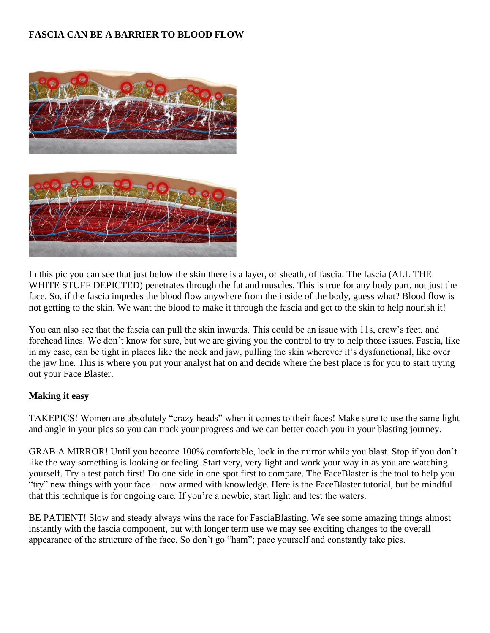## **FASCIA CAN BE A BARRIER TO BLOOD FLOW**



In this pic you can see that just below the skin there is a layer, or sheath, of fascia. The fascia (ALL THE WHITE STUFF DEPICTED) penetrates through the fat and muscles. This is true for any body part, not just the face. So, if the fascia impedes the blood flow anywhere from the inside of the body, guess what? Blood flow is not getting to the skin. We want the blood to make it through the fascia and get to the skin to help nourish it!

You can also see that the fascia can pull the skin inwards. This could be an issue with 11s, crow's feet, and forehead lines. We don't know for sure, but we are giving you the control to try to help those issues. Fascia, like in my case, can be tight in places like the neck and jaw, pulling the skin wherever it's dysfunctional, like over the jaw line. This is where you put your analyst hat on and decide where the best place is for you to start trying out your Face Blaster.

#### **Making it easy**

TAKEPICS! Women are absolutely "crazy heads" when it comes to their faces! Make sure to use the same light and angle in your pics so you can track your progress and we can better coach you in your blasting journey.

GRAB A MIRROR! Until you become 100% comfortable, look in the mirror while you blast. Stop if you don't like the way something is looking or feeling. Start very, very light and work your way in as you are watching yourself. Try a test patch first! Do one side in one spot first to compare. The FaceBlaster is the tool to help you "try" new things with your face – now armed with knowledge. Here is the FaceBlaster tutorial, but be mindful that this technique is for ongoing care. If you're a newbie, start light and test the waters.

BE PATIENT! Slow and steady always wins the race for FasciaBlasting. We see some amazing things almost instantly with the fascia component, but with longer term use we may see exciting changes to the overall appearance of the structure of the face. So don't go "ham"; pace yourself and constantly take pics.